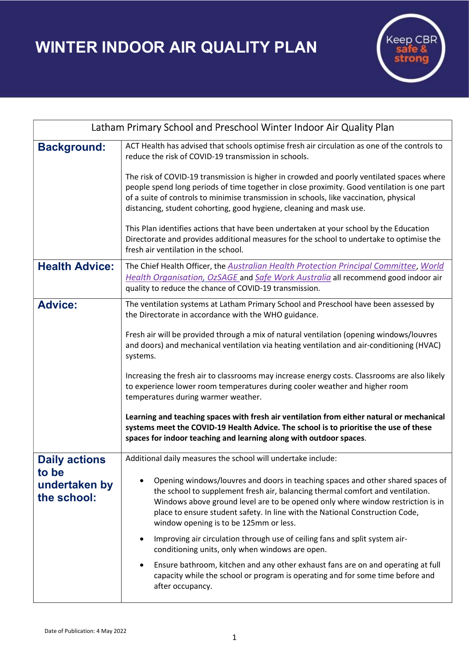WINTER INDOOR AIR QUALITY PLAN



| Latham Primary School and Preschool Winter Indoor Air Quality Plan |                                                                                                                                                                                                                                                                                                                                                                                |
|--------------------------------------------------------------------|--------------------------------------------------------------------------------------------------------------------------------------------------------------------------------------------------------------------------------------------------------------------------------------------------------------------------------------------------------------------------------|
| <b>Background:</b>                                                 | ACT Health has advised that schools optimise fresh air circulation as one of the controls to<br>reduce the risk of COVID-19 transmission in schools.                                                                                                                                                                                                                           |
|                                                                    | The risk of COVID-19 transmission is higher in crowded and poorly ventilated spaces where<br>people spend long periods of time together in close proximity. Good ventilation is one part<br>of a suite of controls to minimise transmission in schools, like vaccination, physical<br>distancing, student cohorting, good hygiene, cleaning and mask use.                      |
|                                                                    | This Plan identifies actions that have been undertaken at your school by the Education<br>Directorate and provides additional measures for the school to undertake to optimise the<br>fresh air ventilation in the school.                                                                                                                                                     |
| <b>Health Advice:</b>                                              | The Chief Health Officer, the Australian Health Protection Principal Committee, World<br>Health Organisation, OzSAGE and Safe Work Australia all recommend good indoor air<br>quality to reduce the chance of COVID-19 transmission.                                                                                                                                           |
| <b>Advice:</b>                                                     | The ventilation systems at Latham Primary School and Preschool have been assessed by<br>the Directorate in accordance with the WHO guidance.                                                                                                                                                                                                                                   |
|                                                                    | Fresh air will be provided through a mix of natural ventilation (opening windows/louvres<br>and doors) and mechanical ventilation via heating ventilation and air-conditioning (HVAC)<br>systems.                                                                                                                                                                              |
|                                                                    | Increasing the fresh air to classrooms may increase energy costs. Classrooms are also likely<br>to experience lower room temperatures during cooler weather and higher room<br>temperatures during warmer weather.                                                                                                                                                             |
|                                                                    | Learning and teaching spaces with fresh air ventilation from either natural or mechanical<br>systems meet the COVID-19 Health Advice. The school is to prioritise the use of these<br>spaces for indoor teaching and learning along with outdoor spaces.                                                                                                                       |
| <b>Daily actions</b><br>to be<br>undertaken by<br>the school:      | Additional daily measures the school will undertake include:                                                                                                                                                                                                                                                                                                                   |
|                                                                    | Opening windows/louvres and doors in teaching spaces and other shared spaces of<br>the school to supplement fresh air, balancing thermal comfort and ventilation.<br>Windows above ground level are to be opened only where window restriction is in<br>place to ensure student safety. In line with the National Construction Code,<br>window opening is to be 125mm or less. |
|                                                                    | Improving air circulation through use of ceiling fans and split system air-<br>conditioning units, only when windows are open.                                                                                                                                                                                                                                                 |
|                                                                    | Ensure bathroom, kitchen and any other exhaust fans are on and operating at full<br>capacity while the school or program is operating and for some time before and<br>after occupancy.                                                                                                                                                                                         |